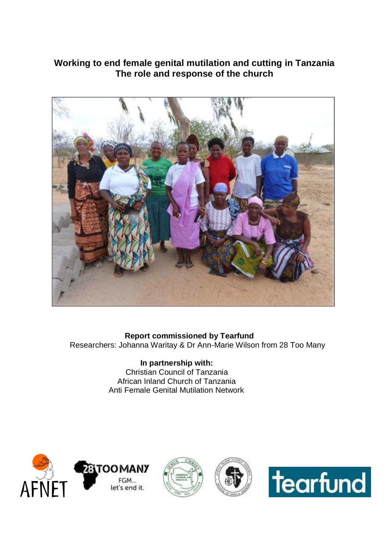# **Working to end female genital mutilation and cutting in Tanzania The role and response of the church**



# **Report commissioned by Tearfund**

Researchers: Johanna Waritay & Dr Ann-Marie Wilson from 28 Too Many

#### **In partnership with:** Christian Council of Tanzania African Inland Church of Tanzania Anti Female Genital Mutilation Network







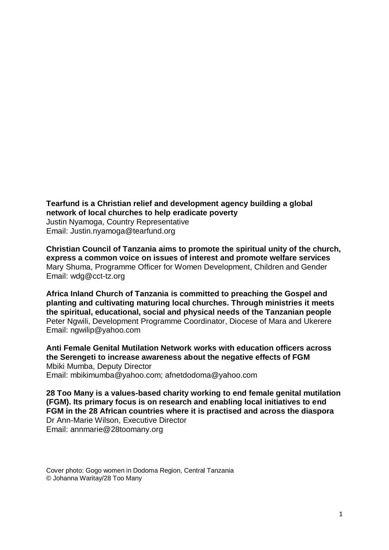**Tearfund is a Christian relief and development agency building a global network of local churches to help eradicate poverty** Justin Nyamoga, Country Representative Email: Justin.nyamoga@tearfund.org

**Christian Council of Tanzania aims to promote the spiritual unity of the church, express a common voice on issues of interest and promote welfare services**  Mary Shuma, Programme Officer for Women Development, Children and Gender Email: [wdg@cct-tz.org](mailto:wdg@cct-tz.org)

**Africa Inland Church of Tanzania is committed to preaching the Gospel and planting and cultivating maturing local churches. Through ministries it meets the spiritual, educational, social and physical needs of the Tanzanian people** Peter Ngwili, Development Programme Coordinator, Diocese of Mara and Ukerere Email: [ngwilip@yahoo.com](mailto:ngwilip@yahoo.com)

**Anti Female Genital Mutilation Network works with education officers across the Serengeti to increase awareness about the negative effects of FGM** Mbiki Mumba, Deputy Director Email: [mbikimumba@yahoo.com;](mailto:mbikimumba@yahoo.com) [afnetdodoma@yahoo.com](mailto:afnetdodoma@yahoo.com)

**28 Too Many is a values-based charity working to end female genital mutilation (FGM). Its primary focus is on research and enabling local initiatives to end FGM in the 28 African countries where it is practised and across the diaspora** Dr Ann-Marie Wilson, Executive Director Email: annmarie@28toomany.org

Cover photo: Gogo women in Dodoma Region, Central Tanzania © Johanna Waritay/28 Too Many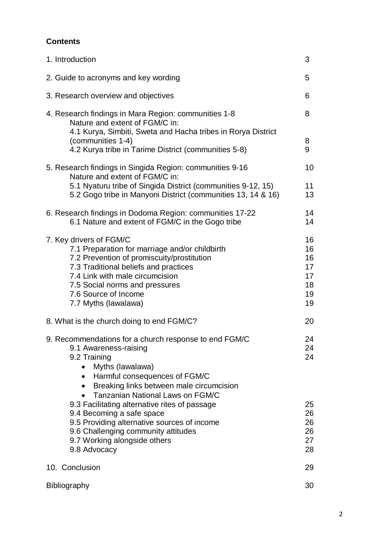# **Contents**

| 1. Introduction                                                                                                                                                                                                                                                                                                                                                                                                                             | 3                                            |  |  |
|---------------------------------------------------------------------------------------------------------------------------------------------------------------------------------------------------------------------------------------------------------------------------------------------------------------------------------------------------------------------------------------------------------------------------------------------|----------------------------------------------|--|--|
| 2. Guide to acronyms and key wording                                                                                                                                                                                                                                                                                                                                                                                                        | 5                                            |  |  |
| 3. Research overview and objectives<br>6                                                                                                                                                                                                                                                                                                                                                                                                    |                                              |  |  |
| 4. Research findings in Mara Region: communities 1-8<br>Nature and extent of FGM/C in:<br>4.1 Kurya, Simbiti, Sweta and Hacha tribes in Rorya District<br>(communities 1-4)<br>4.2 Kurya tribe in Tarime District (communities 5-8)                                                                                                                                                                                                         | 8<br>8<br>9                                  |  |  |
| 5. Research findings in Singida Region: communities 9-16<br>Nature and extent of FGM/C in:<br>5.1 Nyaturu tribe of Singida District (communities 9-12, 15)<br>5.2 Gogo tribe in Manyoni District (communities 13, 14 & 16)                                                                                                                                                                                                                  | 10<br>11<br>13                               |  |  |
| 6. Research findings in Dodoma Region: communities 17-22<br>6.1 Nature and extent of FGM/C in the Gogo tribe                                                                                                                                                                                                                                                                                                                                | 14<br>14                                     |  |  |
| 7. Key drivers of FGM/C<br>7.1 Preparation for marriage and/or childbirth<br>7.2 Prevention of promiscuity/prostitution<br>7.3 Traditional beliefs and practices<br>7.4 Link with male circumcision<br>7.5 Social norms and pressures<br>7.6 Source of Income<br>7.7 Myths (lawalawa)                                                                                                                                                       | 16<br>16<br>16<br>17<br>17<br>18<br>19<br>19 |  |  |
| 8. What is the church doing to end FGM/C?                                                                                                                                                                                                                                                                                                                                                                                                   | 20                                           |  |  |
| 9. Recommendations for a church response to end FGM/C<br>9.1 Awareness-raising<br>9.2 Training<br>Myths (lawalawa)<br>• Harmful consequences of FGM/C<br>• Breaking links between male circumcision<br>Tanzanian National Laws on FGM/C<br>9.3 Facilitating alternative rites of passage<br>9.4 Becoming a safe space<br>9.5 Providing alternative sources of income<br>9.6 Challenging community attitudes<br>9.7 Working alongside others | 24<br>24<br>24<br>25<br>26<br>26<br>26<br>27 |  |  |
| 9.8 Advocacy                                                                                                                                                                                                                                                                                                                                                                                                                                | 28                                           |  |  |
| 10. Conclusion                                                                                                                                                                                                                                                                                                                                                                                                                              | 29                                           |  |  |
| 30<br>Bibliography                                                                                                                                                                                                                                                                                                                                                                                                                          |                                              |  |  |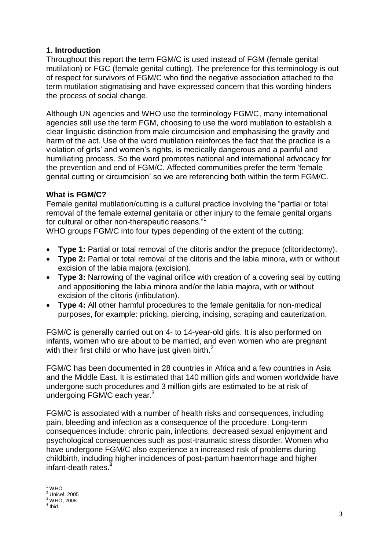# **1. Introduction**

Throughout this report the term FGM/C is used instead of FGM (female genital mutilation) or FGC (female genital cutting). The preference for this terminology is out of respect for survivors of FGM/C who find the negative association attached to the term mutilation stigmatising and have expressed concern that this wording hinders the process of social change.

Although UN agencies and WHO use the terminology FGM/C, many international agencies still use the term FGM, choosing to use the word mutilation to establish a clear linguistic distinction from male circumcision and emphasising the gravity and harm of the act. Use of the word mutilation reinforces the fact that the practice is a violation of girls' and women's rights, is medically dangerous and a painful and humiliating process. So the word promotes national and international advocacy for the prevention and end of FGM/C. Affected communities prefer the term 'female genital cutting or circumcision' so we are referencing both within the term FGM/C.

# **What is FGM/C?**

Female genital mutilation/cutting is a cultural practice involving the "partial or total removal of the female external genitalia or other injury to the female genital organs for cultural or other non-therapeutic reasons."<sup>1</sup>

WHO groups FGM/C into four types depending of the extent of the cutting:

- **Type 1:** Partial or total removal of the clitoris and/or the prepuce (clitoridectomy).
- **Type 2:** Partial or total removal of the clitoris and the labia minora, with or without excision of the labia majora (excision).
- **Type 3:** Narrowing of the vaginal orifice with creation of a covering seal by cutting and appositioning the labia minora and/or the labia majora, with or without excision of the clitoris (infibulation).
- **Type 4:** All other harmful procedures to the female genitalia for non-medical purposes, for example: pricking, piercing, incising, scraping and cauterization.

FGM/C is generally carried out on 4- to 14-year-old girls. It is also performed on infants, women who are about to be married, and even women who are pregnant with their first child or who have just given birth. $2$ 

FGM/C has been documented in 28 countries in Africa and a few countries in Asia and the Middle East. It is estimated that 140 million girls and women worldwide have undergone such procedures and 3 million girls are estimated to be at risk of undergoing FGM/C each year.<sup>3</sup>

FGM/C is associated with a number of health risks and consequences, including pain, bleeding and infection as a consequence of the procedure. Long-term consequences include: chronic pain, infections, decreased sexual enjoyment and psychological consequences such as post-traumatic stress disorder. Women who have undergone FGM/C also experience an increased risk of problems during childbirth, including higher incidences of post-partum haemorrhage and higher infant-death rates.<sup>4</sup>

**<sup>.</sup>**  $1$  WHO

 $2 \cdot 1$  Unicef, 2005

<sup>3</sup> WHO, 2008

<sup>4</sup> Ibid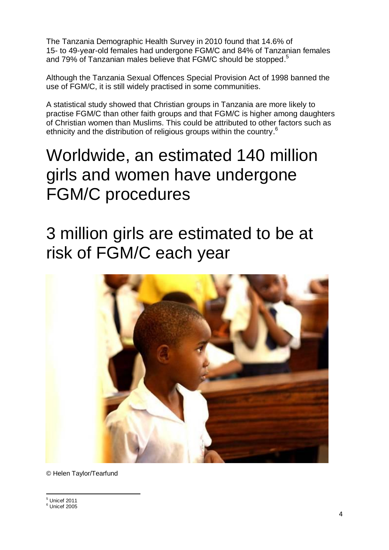The Tanzania Demographic Health Survey in 2010 found that 14.6% of 15- to 49-year-old females had undergone FGM/C and 84% of Tanzanian females and 79% of Tanzanian males believe that FGM/C should be stopped.<sup>5</sup>

Although the Tanzania Sexual Offences Special Provision Act of 1998 banned the use of FGM/C, it is still widely practised in some communities.

A statistical study showed that Christian groups in Tanzania are more likely to practise FGM/C than other faith groups and that FGM/C is higher among daughters of Christian women than Muslims. This could be attributed to other factors such as ethnicity and the distribution of religious groups within the country.<sup>6</sup>

# Worldwide, an estimated 140 million girls and women have undergone FGM/C procedures

# 3 million girls are estimated to be at risk of FGM/C each year



© Helen Taylor/Tearfund

 $<sup>5</sup>$  Unicef 2011</sup>

1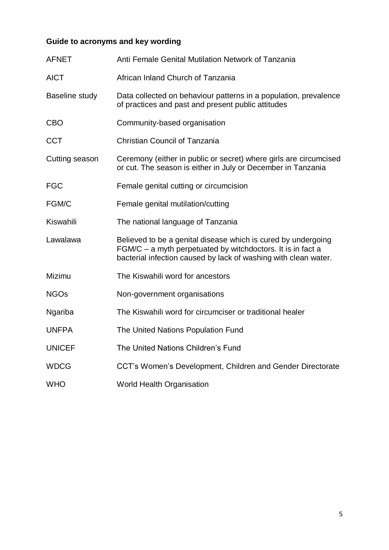# **Guide to acronyms and key wording**

| <b>AFNET</b>   | Anti Female Genital Mutilation Network of Tanzania                                                                                                                                              |  |  |  |
|----------------|-------------------------------------------------------------------------------------------------------------------------------------------------------------------------------------------------|--|--|--|
| <b>AICT</b>    | African Inland Church of Tanzania                                                                                                                                                               |  |  |  |
| Baseline study | Data collected on behaviour patterns in a population, prevalence<br>of practices and past and present public attitudes                                                                          |  |  |  |
| <b>CBO</b>     | Community-based organisation                                                                                                                                                                    |  |  |  |
| <b>CCT</b>     | <b>Christian Council of Tanzania</b>                                                                                                                                                            |  |  |  |
| Cutting season | Ceremony (either in public or secret) where girls are circumcised<br>or cut. The season is either in July or December in Tanzania                                                               |  |  |  |
| <b>FGC</b>     | Female genital cutting or circumcision                                                                                                                                                          |  |  |  |
| FGM/C          | Female genital mutilation/cutting                                                                                                                                                               |  |  |  |
| Kiswahili      | The national language of Tanzania                                                                                                                                                               |  |  |  |
| Lawalawa       | Believed to be a genital disease which is cured by undergoing<br>FGM/C - a myth perpetuated by witchdoctors. It is in fact a<br>bacterial infection caused by lack of washing with clean water. |  |  |  |
| Mizimu         | The Kiswahili word for ancestors                                                                                                                                                                |  |  |  |
| <b>NGOs</b>    | Non-government organisations                                                                                                                                                                    |  |  |  |
| Ngariba        | The Kiswahili word for circumciser or traditional healer                                                                                                                                        |  |  |  |
| <b>UNFPA</b>   | The United Nations Population Fund                                                                                                                                                              |  |  |  |
| <b>UNICEF</b>  | The United Nations Children's Fund                                                                                                                                                              |  |  |  |
| <b>WDCG</b>    | CCT's Women's Development, Children and Gender Directorate                                                                                                                                      |  |  |  |
| <b>WHO</b>     | <b>World Health Organisation</b>                                                                                                                                                                |  |  |  |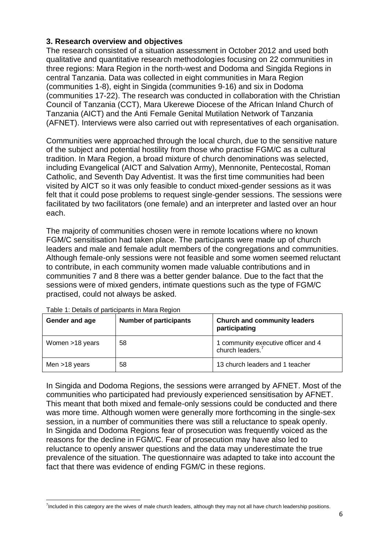### **3. Research overview and objectives**

The research consisted of a situation assessment in October 2012 and used both qualitative and quantitative research methodologies focusing on 22 communities in three regions: Mara Region in the north-west and Dodoma and Singida Regions in central Tanzania. Data was collected in eight communities in Mara Region (communities 1-8), eight in Singida (communities 9-16) and six in Dodoma (communities 17-22). The research was conducted in collaboration with the Christian Council of Tanzania (CCT), Mara Ukerewe Diocese of the African Inland Church of Tanzania (AICT) and the Anti Female Genital Mutilation Network of Tanzania (AFNET). Interviews were also carried out with representatives of each organisation.

Communities were approached through the local church, due to the sensitive nature of the subject and potential hostility from those who practise FGM/C as a cultural tradition. In Mara Region, a broad mixture of church denominations was selected, including Evangelical (AICT and Salvation Army), Mennonite, Pentecostal, Roman Catholic, and Seventh Day Adventist. It was the first time communities had been visited by AICT so it was only feasible to conduct mixed-gender sessions as it was felt that it could pose problems to request single-gender sessions. The sessions were facilitated by two facilitators (one female) and an interpreter and lasted over an hour each.

The majority of communities chosen were in remote locations where no known FGM/C sensitisation had taken place. The participants were made up of church leaders and male and female adult members of the congregations and communities. Although female-only sessions were not feasible and some women seemed reluctant to contribute, in each community women made valuable contributions and in communities 7 and 8 there was a better gender balance. Due to the fact that the sessions were of mixed genders, intimate questions such as the type of FGM/C practised, could not always be asked.

| Gender and age  | <b>Number of participants</b> | <b>Church and community leaders</b><br>participating   |
|-----------------|-------------------------------|--------------------------------------------------------|
| Women >18 years | 58                            | 1 community executive officer and 4<br>church leaders. |
| Men $>18$ years | 58                            | 13 church leaders and 1 teacher                        |

Table 1: Details of participants in Mara Region

In Singida and Dodoma Regions, the sessions were arranged by AFNET. Most of the communities who participated had previously experienced sensitisation by AFNET. This meant that both mixed and female-only sessions could be conducted and there was more time. Although women were generally more forthcoming in the single-sex session, in a number of communities there was still a reluctance to speak openly. In Singida and Dodoma Regions fear of prosecution was frequently voiced as the reasons for the decline in FGM/C. Fear of prosecution may have also led to reluctance to openly answer questions and the data may underestimate the true prevalence of the situation. The questionnaire was adapted to take into account the fact that there was evidence of ending FGM/C in these regions.

<sup>-</sup><sup>7</sup>Included in this category are the wives of male church leaders, although they may not all have church leadership positions.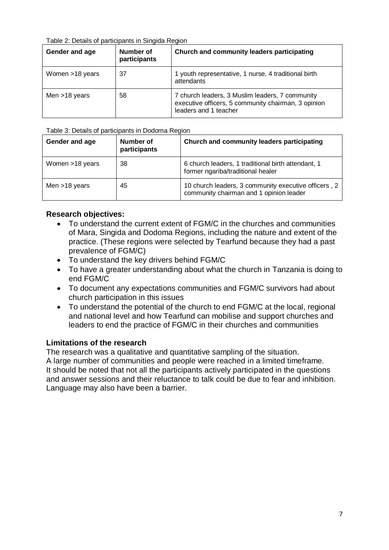#### Table 2: Details of participants in Singida Region

| Gender and age  | Number of<br>participants | Church and community leaders participating                                                                                      |  |  |
|-----------------|---------------------------|---------------------------------------------------------------------------------------------------------------------------------|--|--|
| Women >18 years | 37                        | 1 youth representative, 1 nurse, 4 traditional birth<br>attendants                                                              |  |  |
| Men $>18$ years | 58                        | 7 church leaders, 3 Muslim leaders, 7 community<br>executive officers, 5 community chairman, 3 opinion<br>leaders and 1 teacher |  |  |

#### Table 3: Details of participants in Dodoma Region

| Number of<br>Gender and age<br>participants |    | Church and community leaders participating                                                      |  |  |
|---------------------------------------------|----|-------------------------------------------------------------------------------------------------|--|--|
| Women >18 years                             | 38 | 6 church leaders, 1 traditional birth attendant, 1<br>former ngariba/traditional healer         |  |  |
| Men $>18$ years                             | 45 | 10 church leaders, 3 community executive officers, 2<br>community chairman and 1 opinion leader |  |  |

#### **Research objectives:**

- To understand the current extent of FGM/C in the churches and communities of Mara, Singida and Dodoma Regions, including the nature and extent of the practice. (These regions were selected by Tearfund because they had a past prevalence of FGM/C)
- To understand the key drivers behind FGM/C
- To have a greater understanding about what the church in Tanzania is doing to end FGM/C
- To document any expectations communities and FGM/C survivors had about church participation in this issues
- To understand the potential of the church to end FGM/C at the local, regional and national level and how Tearfund can mobilise and support churches and leaders to end the practice of FGM/C in their churches and communities

#### **Limitations of the research**

The research was a qualitative and quantitative sampling of the situation. A large number of communities and people were reached in a limited timeframe. It should be noted that not all the participants actively participated in the questions and answer sessions and their reluctance to talk could be due to fear and inhibition. Language may also have been a barrier.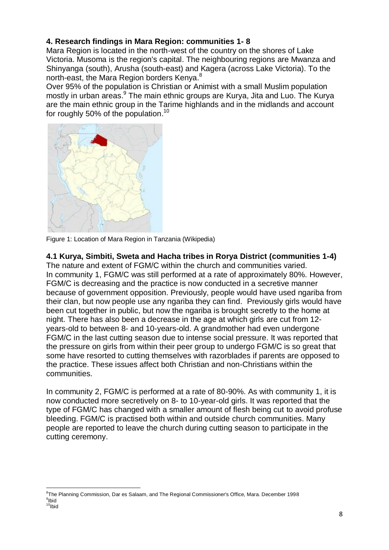# **4. Research findings in Mara Region: communities 1- 8**

Mara Region is located in the north-west of the country on the shores of Lake Victoria. Musoma is the region's capital. The neighbouring regions are [Mwanza](http://region/) and [Shinyanga](http://region/) (south), [Arusha](http://region/) (south-east) and [Kagera](http://region/) (across [Lake Victoria\)](http://victoria/). To the north-east, the Mara Region borders Kenya.<sup>8</sup>

Over 95% of the population is Christian or Animist with a small Muslim population mostly in urban areas.<sup>9</sup> The main ethnic groups are Kurya, Jita and Luo. The Kurya are the main ethnic group in the Tarime highlands and in the midlands and account for roughly 50% of the population.<sup>10</sup>



Figure 1: Location of Mara Region in Tanzania (Wikipedia)

# **4.1 Kurya, Simbiti, Sweta and Hacha tribes in Rorya District (communities 1-4)**

The nature and extent of FGM/C within the church and communities varied. In community 1, FGM/C was still performed at a rate of approximately 80%. However, FGM/C is decreasing and the practice is now conducted in a secretive manner because of government opposition. Previously, people would have used ngariba from their clan, but now people use any ngariba they can find. Previously girls would have been cut together in public, but now the ngariba is brought secretly to the home at night. There has also been a decrease in the age at which girls are cut from 12 years-old to between 8- and 10-years-old. A grandmother had even undergone FGM/C in the last cutting season due to intense social pressure. It was reported that the pressure on girls from within their peer group to undergo FGM/C is so great that some have resorted to cutting themselves with razorblades if parents are opposed to the practice. These issues affect both Christian and non-Christians within the communities.

In community 2, FGM/C is performed at a rate of 80-90%. As with community 1, it is now conducted more secretively on 8- to 10-year-old girls. It was reported that the type of FGM/C has changed with a smaller amount of flesh being cut to avoid profuse bleeding. FGM/C is practised both within and outside church communities. Many people are reported to leave the church during cutting season to participate in the cutting ceremony.

<sup>1</sup> <sup>8</sup>The Planning Commission, Dar es Salaam, and The Regional Commissioner's Office, Mara. December 1998 <sup>9</sup>lbid  $10$ Ibid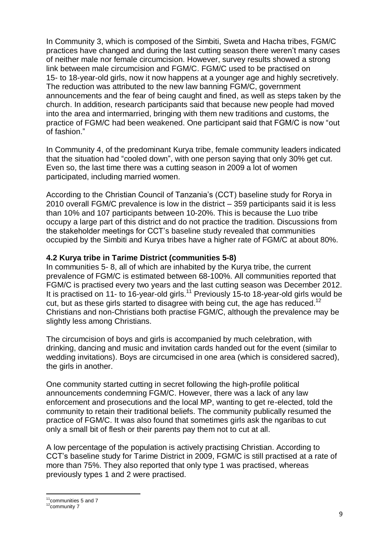In Community 3, which is composed of the Simbiti, Sweta and Hacha tribes, FGM/C practices have changed and during the last cutting season there weren't many cases of neither male nor female circumcision. However, survey results showed a strong link between male circumcision and FGM/C. FGM/C used to be practised on 15- to 18-year-old girls, now it now happens at a younger age and highly secretively. The reduction was attributed to the new law banning FGM/C, government announcements and the fear of being caught and fined, as well as steps taken by the church. In addition, research participants said that because new people had moved into the area and intermarried, bringing with them new traditions and customs, the practice of FGM/C had been weakened. One participant said that FGM/C is now "out of fashion."

In Community 4, of the predominant Kurya tribe, female community leaders indicated that the situation had "cooled down", with one person saying that only 30% get cut. Even so, the last time there was a cutting season in 2009 a lot of women participated, including married women.

According to the Christian Council of Tanzania's (CCT) baseline study for Rorya in 2010 overall FGM/C prevalence is low in the district – 359 participants said it is less than 10% and 107 participants between 10-20%. This is because the Luo tribe occupy a large part of this district and do not practice the tradition. Discussions from the stakeholder meetings for CCT's baseline study revealed that communities occupied by the Simbiti and Kurya tribes have a higher rate of FGM/C at about 80%.

#### **4.2 Kurya tribe in Tarime District (communities 5-8)**

In communities 5- 8, all of which are inhabited by the Kurya tribe, the current prevalence of FGM/C is estimated between 68-100%. All communities reported that FGM/C is practised every two years and the last cutting season was December 2012. It is practised on 11- to 16-year-old girls.<sup>11</sup> Previously 15-to 18-year-old girls would be cut, but as these girls started to disagree with being cut, the age has reduced.<sup>12</sup> Christians and non-Christians both practise FGM/C, although the prevalence may be slightly less among Christians.

The circumcision of boys and girls is accompanied by much celebration, with drinking, dancing and music and invitation cards handed out for the event (similar to wedding invitations). Boys are circumcised in one area (which is considered sacred), the girls in another.

One community started cutting in secret following the high-profile political announcements condemning FGM/C. However, there was a lack of any law enforcement and prosecutions and the local MP, wanting to get re-elected, told the community to retain their traditional beliefs. The community publically resumed the practice of FGM/C. It was also found that sometimes girls ask the ngaribas to cut only a small bit of flesh or their parents pay them not to cut at all.

A low percentage of the population is actively practising Christian. According to CCT's baseline study for Tarime District in 2009, FGM/C is still practised at a rate of more than 75%. They also reported that only type 1 was practised, whereas previously types 1 and 2 were practised.

<sup>1</sup>  $11$ communities 5 and 7

 $12$ community 7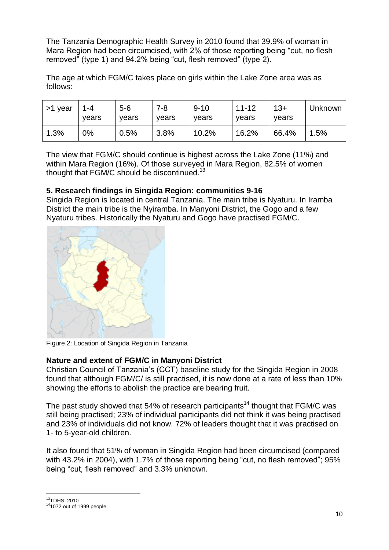The Tanzania Demographic Health Survey in 2010 found that 39.9% of woman in Mara Region had been circumcised, with 2% of those reporting being "cut, no flesh removed" (type 1) and 94.2% being "cut, flesh removed" (type 2).

The age at which FGM/C takes place on girls within the Lake Zone area was as follows:

| >1 year | 1-4<br>vears | $5 - 6$<br>vears | 7-8<br>vears | $9 - 10$<br>vears | $11 - 12$<br>vears | $13+$<br>vears | Unknown |
|---------|--------------|------------------|--------------|-------------------|--------------------|----------------|---------|
| 1.3%    | 0%           | 0.5%             | 3.8%         | 10.2%             | 16.2%              | 66.4%          | 1.5%    |

The view that FGM/C should continue is highest across the Lake Zone (11%) and within Mara Region (16%). Of those surveyed in Mara Region, 82.5% of women thought that FGM/C should be discontinued.<sup>13</sup>

# **5. Research findings in Singida Region: communities 9-16**

Singida Region is located in central Tanzania. The main tribe is Nyaturu. In Iramba District the main tribe is the Nyiramba. In Manyoni District, the Gogo and a few Nyaturu tribes. Historically the Nyaturu and Gogo have practised FGM/C.



Figure 2: Location of Singida Region in Tanzania

# **Nature and extent of FGM/C in Manyoni District**

Christian Council of Tanzania's (CCT) baseline study for the Singida Region in 2008 found that although FGM/C/ is still practised, it is now done at a rate of less than 10% showing the efforts to abolish the practice are bearing fruit.

The past study showed that 54% of research participants<sup>14</sup> thought that FGM/C was still being practised; 23% of individual participants did not think it was being practised and 23% of individuals did not know. 72% of leaders thought that it was practised on 1- to 5-year-old children.

It also found that 51% of woman in Singida Region had been circumcised (compared with 43.2% in 2004), with 1.7% of those reporting being "cut, no flesh removed"; 95% being "cut, flesh removed" and 3.3% unknown.

<sup>13</sup>TDHS, 2010

1

 $14$ 1072 out of 1999 people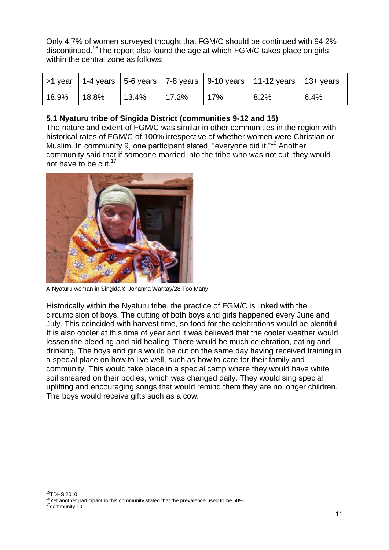Only 4.7% of women surveyed thought that FGM/C should be continued with 94.2% discontinued.<sup>15</sup>The report also found the age at which FGM/C takes place on girls within the central zone as follows:

|       |       |       |           |     | >1 year   1-4 years   5-6 years   7-8 years   9-10 years   11-12 years   13+ years |      |
|-------|-------|-------|-----------|-----|------------------------------------------------------------------------------------|------|
| 18.9% | 18.8% | 13.4% | $117.2\%$ | 17% | 8.2%                                                                               | 6.4% |

# **5.1 Nyaturu tribe of Singida District (communities 9-12 and 15)**

The nature and extent of FGM/C was similar in other communities in the region with historical rates of FGM/C of 100% irrespective of whether women were Christian or Muslim. In community 9, one participant stated, "everyone did it."<sup>16</sup> Another community said that if someone married into the tribe who was not cut, they would not have to be cut.<sup>17</sup>



A Nyaturu woman in Singida © Johanna Waritay/28 Too Many

Historically within the Nyaturu tribe, the practice of FGM/C is linked with the circumcision of boys. The cutting of both boys and girls happened every June and July. This coincided with harvest time, so food for the celebrations would be plentiful. It is also cooler at this time of year and it was believed that the cooler weather would lessen the bleeding and aid healing. There would be much celebration, eating and drinking. The boys and girls would be cut on the same day having received training in a special place on how to live well, such as how to care for their family and community. This would take place in a special camp where they would have white soil smeared on their bodies, which was changed daily. They would sing special uplifting and encouraging songs that would remind them they are no longer children. The boys would receive gifts such as a cow.

<sup>1</sup> <sup>15</sup>TDHS 2010

<sup>&</sup>lt;sup>16</sup>Yet another participant in this community stated that the prevalence used to be 50% <sup>17</sup>community 10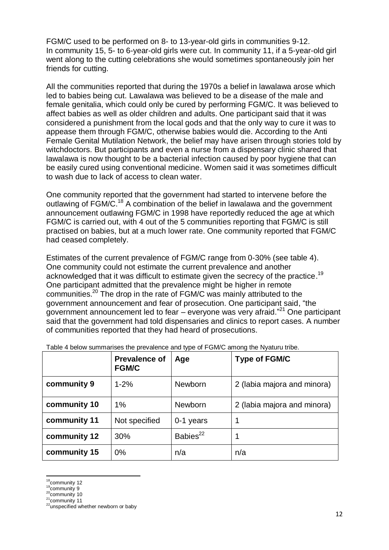FGM/C used to be performed on 8- to 13-year-old girls in communities 9-12. In community 15, 5- to 6-year-old girls were cut. In community 11, if a 5-year-old girl went along to the cutting celebrations she would sometimes spontaneously join her friends for cutting.

All the communities reported that during the 1970s a belief in lawalawa arose which led to babies being cut. Lawalawa was believed to be a disease of the male and female genitalia, which could only be cured by performing FGM/C. It was believed to affect babies as well as older children and adults. One participant said that it was considered a punishment from the local gods and that the only way to cure it was to appease them through FGM/C, otherwise babies would die. According to the Anti Female Genital Mutilation Network, the belief may have arisen through stories told by witchdoctors. But participants and even a nurse from a dispensary clinic shared that lawalawa is now thought to be a bacterial infection caused by poor hygiene that can be easily cured using conventional medicine. Women said it was sometimes difficult to wash due to lack of access to clean water.

One community reported that the government had started to intervene before the outlawing of FGM/C.<sup>18</sup> A combination of the belief in lawalawa and the government announcement outlawing FGM/C in 1998 have reportedly reduced the age at which FGM/C is carried out, with 4 out of the 5 communities reporting that FGM/C is still practised on babies, but at a much lower rate. One community reported that FGM/C had ceased completely.

Estimates of the current prevalence of FGM/C range from 0-30% (see table 4). One community could not estimate the current prevalence and another acknowledged that it was difficult to estimate given the secrecy of the practice.<sup>19</sup> One participant admitted that the prevalence might be higher in remote communities.<sup>20</sup> The drop in the rate of FGM/C was mainly attributed to the government announcement and fear of prosecution. One participant said, "the government announcement led to fear – everyone was very afraid."<sup>21</sup> One participant said that the government had told dispensaries and clinics to report cases. A number of communities reported that they had heard of prosecutions.

|              | <b>Prevalence of</b><br><b>FGM/C</b> | Age                  | <b>Type of FGM/C</b>        |
|--------------|--------------------------------------|----------------------|-----------------------------|
| community 9  | $1 - 2%$                             | Newborn              | 2 (labia majora and minora) |
| community 10 | 1%                                   | Newborn              | 2 (labia majora and minora) |
| community 11 | Not specified                        | 0-1 years            |                             |
| community 12 | 30%                                  | Babies <sup>22</sup> |                             |
| community 15 | $0\%$                                | n/a                  | n/a                         |

Table 4 below summarises the prevalence and type of FGM/C among the Nyaturu tribe.

<sup>-</sup><sup>18</sup>community 12

<sup>&</sup>lt;sup>19</sup>community 9

 $^{20}$ community 10

 $21$ community 11

<sup>&</sup>lt;sup>22</sup>unspecified whether newborn or baby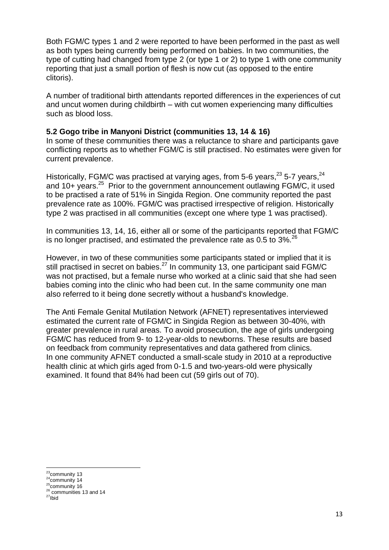Both FGM/C types 1 and 2 were reported to have been performed in the past as well as both types being currently being performed on babies. In two communities, the type of cutting had changed from type 2 (or type 1 or 2) to type 1 with one community reporting that just a small portion of flesh is now cut (as opposed to the entire clitoris).

A number of traditional birth attendants reported differences in the experiences of cut and uncut women during childbirth – with cut women experiencing many difficulties such as blood loss.

#### **5.2 Gogo tribe in Manyoni District (communities 13, 14 & 16)**

In some of these communities there was a reluctance to share and participants gave conflicting reports as to whether FGM/C is still practised. No estimates were given for current prevalence.

Historically, FGM/C was practised at varying ages, from 5-6 years,<sup>23</sup> 5-7 years,<sup>24</sup> and 10+ years.<sup>25</sup> Prior to the government announcement outlawing FGM/C, it used to be practised a rate of 51% in Singida Region. One community reported the past prevalence rate as 100%. FGM/C was practised irrespective of religion. Historically type 2 was practised in all communities (except one where type 1 was practised).

In communities 13, 14, 16, either all or some of the participants reported that FGM/C is no longer practised, and estimated the prevalence rate as  $0.5$  to  $3\%$ <sup>26</sup>

However, in two of these communities some participants stated or implied that it is still practised in secret on babies.<sup>27</sup> In community 13, one participant said FGM/C was not practised, but a female nurse who worked at a clinic said that she had seen babies coming into the clinic who had been cut. In the same community one man also referred to it being done secretly without a husband's knowledge.

The Anti Female Genital Mutilation Network (AFNET) representatives interviewed estimated the current rate of FGM/C in Singida Region as between 30-40%, with greater prevalence in rural areas. To avoid prosecution, the age of girls undergoing FGM/C has reduced from 9- to 12-year-olds to newborns. These results are based on feedback from community representatives and data gathered from clinics. In one community AFNET conducted a small-scale study in 2010 at a reproductive health clinic at which girls aged from 0-1.5 and two-years-old were physically examined. It found that 84% had been cut (59 girls out of 70).

<sup>-</sup><sup>23</sup>community 13

 $24$ community 14

 $25$ community 16 <sup>26</sup> communities 13 and 14

 $27$ Ibid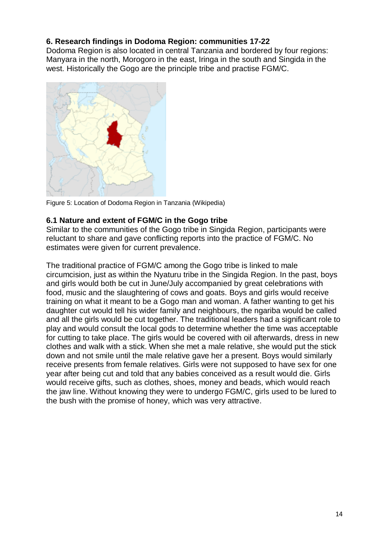# **6. Research findings in Dodoma Region: communities 17-22**

Dodoma Region is also located in central Tanzania and bordered by four regions: Manyara in the north, Morogoro in the east, Iringa in the south and Singida in the west. Historically the Gogo are the principle tribe and practise FGM/C.



Figure 5: Location of Dodoma Region in Tanzania (Wikipedia)

#### **6.1 Nature and extent of FGM/C in the Gogo tribe**

Similar to the communities of the Gogo tribe in Singida Region, participants were reluctant to share and gave conflicting reports into the practice of FGM/C. No estimates were given for current prevalence.

The traditional practice of FGM/C among the Gogo tribe is linked to male circumcision, just as within the Nyaturu tribe in the Singida Region. In the past, boys and girls would both be cut in June/July accompanied by great celebrations with food, music and the slaughtering of cows and goats. Boys and girls would receive training on what it meant to be a Gogo man and woman. A father wanting to get his daughter cut would tell his wider family and neighbours, the ngariba would be called and all the girls would be cut together. The traditional leaders had a significant role to play and would consult the local gods to determine whether the time was acceptable for cutting to take place. The girls would be covered with oil afterwards, dress in new clothes and walk with a stick. When she met a male relative, she would put the stick down and not smile until the male relative gave her a present. Boys would similarly receive presents from female relatives. Girls were not supposed to have sex for one year after being cut and told that any babies conceived as a result would die. Girls would receive gifts, such as clothes, shoes, money and beads, which would reach the jaw line. Without knowing they were to undergo FGM/C, girls used to be lured to the bush with the promise of honey, which was very attractive.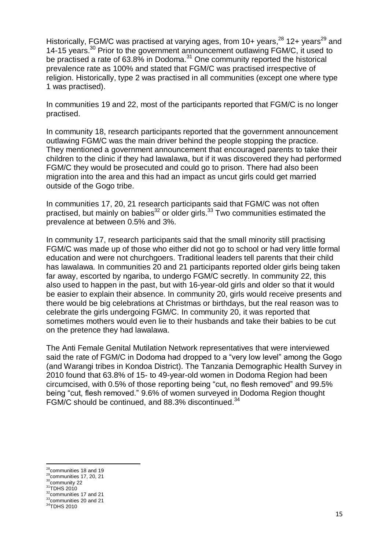Historically, FGM/C was practised at varying ages, from 10+ years,<sup>28</sup> 12+ years<sup>29</sup> and 14-15 years. <sup>30</sup> Prior to the government announcement outlawing FGM/C, it used to be practised a rate of 63.8% in Dodoma.<sup>31</sup> One community reported the historical prevalence rate as 100% and stated that FGM/C was practised irrespective of religion. Historically, type 2 was practised in all communities (except one where type 1 was practised).

In communities 19 and 22, most of the participants reported that FGM/C is no longer practised.

In community 18, research participants reported that the government announcement outlawing FGM/C was the main driver behind the people stopping the practice. They mentioned a government announcement that encouraged parents to take their children to the clinic if they had lawalawa, but if it was discovered they had performed FGM/C they would be prosecuted and could go to prison. There had also been migration into the area and this had an impact as uncut girls could get married outside of the Gogo tribe.

In communities 17, 20, 21 research participants said that FGM/C was not often practised, but mainly on babies $32$  or older girls.<sup>33</sup> Two communities estimated the prevalence at between 0.5% and 3%.

In community 17, research participants said that the small minority still practising FGM/C was made up of those who either did not go to school or had very little formal education and were not churchgoers. Traditional leaders tell parents that their child has lawalawa*.* In communities 20 and 21 participants reported older girls being taken far away, escorted by ngariba, to undergo FGM/C secretly. In community 22, this also used to happen in the past, but with 16-year-old girls and older so that it would be easier to explain their absence. In community 20, girls would receive presents and there would be big celebrations at Christmas or birthdays, but the real reason was to celebrate the girls undergoing FGM/C. In community 20, it was reported that sometimes mothers would even lie to their husbands and take their babies to be cut on the pretence they had lawalawa.

The Anti Female Genital Mutilation Network representatives that were interviewed said the rate of FGM/C in Dodoma had dropped to a "very low level" among the Gogo (and Warangi tribes in Kondoa District). The Tanzania Demographic Health Survey in 2010 found that 63.8% of 15- to 49-year-old women in Dodoma Region had been circumcised, with 0.5% of those reporting being "cut, no flesh removed" and 99.5% being "cut, flesh removed." 9.6% of women surveyed in Dodoma Region thought FGM/C should be continued, and 88.3% discontinued.<sup>34</sup>

1

 $^{28}$ communities 18 and 19

<sup>&</sup>lt;sup>29</sup>communities 17, 20, 21 <sup>30</sup>community 22

 $31$ TDHS 2010

 $32$  communities 17 and 21 <sup>33</sup>communities 20 and 21

<sup>&</sup>lt;sup>34</sup>TDHS 2010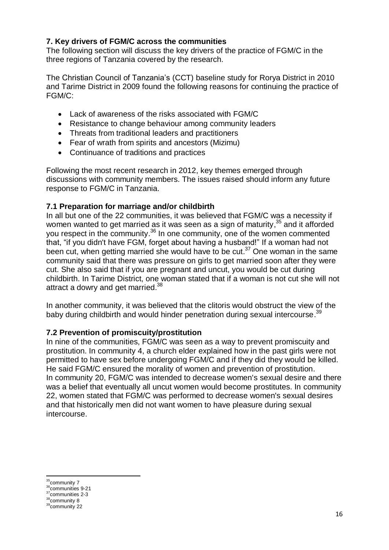### **7. Key drivers of FGM/C across the communities**

The following section will discuss the key drivers of the practice of FGM/C in the three regions of Tanzania covered by the research.

The Christian Council of Tanzania's (CCT) baseline study for Rorya District in 2010 and Tarime District in 2009 found the following reasons for continuing the practice of FGM/C:

- Lack of awareness of the risks associated with FGM/C
- Resistance to change behaviour among community leaders
- Threats from traditional leaders and practitioners
- Fear of wrath from spirits and ancestors (Mizimu)
- Continuance of traditions and practices

Following the most recent research in 2012, key themes emerged through discussions with community members. The issues raised should inform any future response to FGM/C in Tanzania.

#### **7.1 Preparation for marriage and/or childbirth**

In all but one of the 22 communities, it was believed that FGM/C was a necessity if women wanted to get married as it was seen as a sign of maturity,<sup>35</sup> and it afforded you respect in the community.<sup>36</sup> In one community, one of the women commented that, "if you didn't have FGM, forget about having a husband!" If a woman had not been cut, when getting married she would have to be cut.<sup>37</sup> One woman in the same community said that there was pressure on girls to get married soon after they were cut. She also said that if you are pregnant and uncut, you would be cut during childbirth. In Tarime District, one woman stated that if a woman is not cut she will not attract a dowry and get married.<sup>38</sup>

In another community, it was believed that the clitoris would obstruct the view of the baby during childbirth and would hinder penetration during sexual intercourse.<sup>39</sup>

#### **7.2 Prevention of promiscuity/prostitution**

In nine of the communities, FGM/C was seen as a way to prevent promiscuity and prostitution. In community 4, a church elder explained how in the past girls were not permitted to have sex before undergoing FGM/C and if they did they would be killed. He said FGM/C ensured the morality of women and prevention of prostitution. In community 20, FGM/C was intended to decrease women's sexual desire and there was a belief that eventually all uncut women would become prostitutes. In community 22, women stated that FGM/C was performed to decrease women's sexual desires and that historically men did not want women to have pleasure during sexual intercourse.

<sup>-</sup><sup>35</sup>community 7

<sup>36</sup>communities 9-21

<sup>&</sup>lt;sup>37</sup>communities 2-3

<sup>&</sup>lt;sup>38</sup>community 8 <sup>39</sup>community 22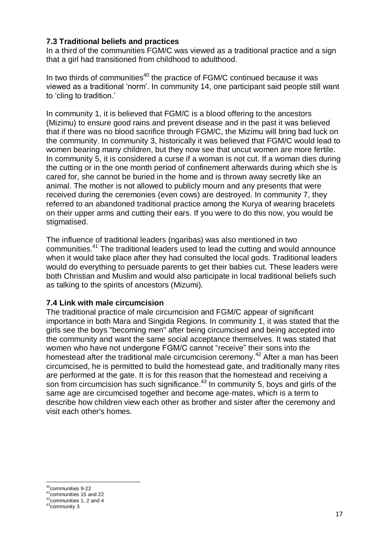#### **7.3 Traditional beliefs and practices**

In a third of the communities FGM/C was viewed as a traditional practice and a sign that a girl had transitioned from childhood to adulthood.

In two thirds of communities<sup>40</sup> the practice of  $FGM/C$  continued because it was viewed as a traditional 'norm'. In community 14, one participant said people still want to 'cling to tradition.'

In community 1, it is believed that FGM/C is a blood offering to the ancestors (Mizimu) to ensure good rains and prevent disease and in the past it was believed that if there was no blood sacrifice through FGM/C, the Mizimu will bring bad luck on the community. In community 3, historically it was believed that FGM/C would lead to women bearing many children, but they now see that uncut women are more fertile. In community 5, it is considered a curse if a woman is not cut. If a woman dies during the cutting or in the one month period of confinement afterwards during which she is cared for, she cannot be buried in the home and is thrown away secretly like an animal. The mother is not allowed to publicly mourn and any presents that were received during the ceremonies (even cows) are destroyed. In community 7, they referred to an abandoned traditional practice among the Kurya of wearing bracelets on their upper arms and cutting their ears. If you were to do this now, you would be stigmatised.

The influence of traditional leaders (ngaribas) was also mentioned in two communities.<sup>41</sup> The traditional leaders used to lead the cutting and would announce when it would take place after they had consulted the local gods. Traditional leaders would do everything to persuade parents to get their babies cut. These leaders were both Christian and Muslim and would also participate in local traditional beliefs such as talking to the spirits of ancestors (Mizumi)*.* 

#### **7.4 Link with male circumcision**

The traditional practice of male circumcision and FGM/C appear of significant importance in both Mara and Singida Regions. In community 1, it was stated that the girls see the boys "becoming men" after being circumcised and being accepted into the community and want the same social acceptance themselves. It was stated that women who have not undergone FGM/C cannot "receive" their sons into the homestead after the traditional male circumcision ceremony.<sup>42</sup> After a man has been circumcised, he is permitted to build the homestead gate, and traditionally many rites are performed at the gate. It is for this reason that the homestead and receiving a son from circumcision has such significance.<sup>43</sup> In community 5, boys and girls of the same age are circumcised together and become age-mates, which is a term to describe how children view each other as brother and sister after the ceremony and visit each other's homes.

**.** 

<sup>40</sup>communities 9-22

 $41^{\circ}$ communities 15 and 22

<sup>42&</sup>lt;sup>42</sup>communities 1, 2 and 4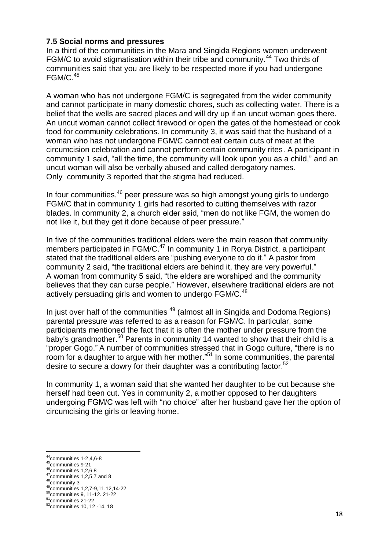#### **7.5 Social norms and pressures**

In a third of the communities in the Mara and Singida Regions women underwent FGM/C to avoid stigmatisation within their tribe and community.<sup>44</sup> Two thirds of communities said that you are likely to be respected more if you had undergone  $FGM/C.<sup>45</sup>$ 

A woman who has not undergone FGM/C is segregated from the wider community and cannot participate in many domestic chores, such as collecting water. There is a belief that the wells are sacred places and will dry up if an uncut woman goes there. An uncut woman cannot collect firewood or open the gates of the homestead or cook food for community celebrations. In community 3, it was said that the husband of a woman who has not undergone FGM/C cannot eat certain cuts of meat at the circumcision celebration and cannot perform certain community rites. A participant in community 1 said, "all the time, the community will look upon you as a child," and an uncut woman will also be verbally abused and called derogatory names. Only community 3 reported that the stigma had reduced.

In four communities,<sup>46</sup> peer pressure was so high amongst young girls to undergo FGM/C that in community 1 girls had resorted to cutting themselves with razor blades. In community 2, a church elder said, "men do not like FGM, the women do not like it, but they get it done because of peer pressure."

In five of the communities traditional elders were the main reason that community members participated in FGM/C. $47$  In community 1 in Rorya District, a participant stated that the traditional elders are "pushing everyone to do it." A pastor from community 2 said, "the traditional elders are behind it, they are very powerful." A woman from community 5 said, "the elders are worshiped and the community believes that they can curse people." However, elsewhere traditional elders are not actively persuading girls and women to undergo FGM/C.<sup>48</sup>

In just over half of the communities <sup>49</sup> (almost all in Singida and Dodoma Regions) parental pressure was referred to as a reason for FGM/C. In particular, some participants mentioned the fact that it is often the mother under pressure from the baby's grandmother. <sup>50</sup> Parents in community 14 wanted to show that their child is a "proper Gogo." A number of communities stressed that in Gogo culture, "there is no room for a daughter to argue with her mother."<sup>51</sup> In some communities, the parental desire to secure a dowry for their daughter was a contributing factor.<sup>52</sup>

In community 1, a woman said that she wanted her daughter to be cut because she herself had been cut. Yes in community 2, a mother opposed to her daughters undergoing FGM/C was left with "no choice" after her husband gave her the option of circumcising the girls or leaving home.

**.** 

 $44$ communities 1-2,4,6-8

<sup>45</sup>communities 9-21

 $^{46}$ communities 1,2,6,8  $47$ communities 1,2,5,7 and 8

<sup>48</sup>community 3

<sup>49</sup>communities 1,2,7-9,11,12,14-22

<sup>50</sup>communities 9, 11-12. 21-22

<sup>51</sup>communities 21-22

<sup>52</sup>communities 10, 12 -14, 18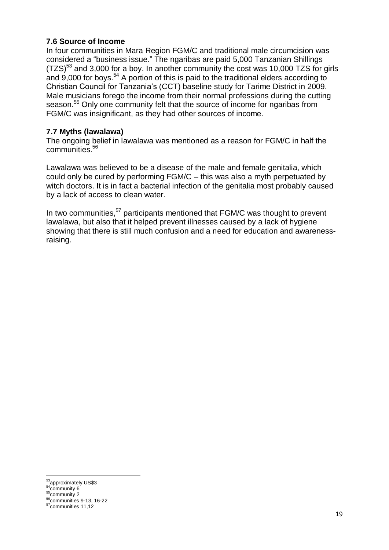# **7.6 Source of Income**

In four communities in Mara Region FGM/C and traditional male circumcision was considered a "business issue." The ngaribas are paid 5,000 Tanzanian Shillings (TZS)<sup>53</sup> and 3,000 for a boy. In another community the cost was 10,000 TZS for girls and 9,000 for boys.<sup>54</sup> A portion of this is paid to the traditional elders according to Christian Council for Tanzania's (CCT) baseline study for Tarime District in 2009. Male musicians forego the income from their normal professions during the cutting season.<sup>55</sup> Only one community felt that the source of income for ngaribas from FGM/C was insignificant, as they had other sources of income.

# **7.7 Myths (lawalawa)**

The ongoing belief in lawalawa was mentioned as a reason for FGM/C in half the communities. 56

Lawalawa was believed to be a disease of the male and female genitalia, which could only be cured by performing FGM/C – this was also a myth perpetuated by witch doctors. It is in fact a bacterial infection of the genitalia most probably caused by a lack of access to clean water.

In two communities,<sup>57</sup> participants mentioned that FGM/C was thought to prevent lawalawa, but also that it helped prevent illnesses caused by a lack of hygiene showing that there is still much confusion and a need for education and awarenessraising.

<sup>-</sup><sup>53</sup>approximately US\$3

<sup>&</sup>lt;sup>54</sup>community 6

<sup>55&</sup>lt;sub>community</sub> 2  $56$ communities 9-13, 16-22

<sup>57</sup>communities 11,12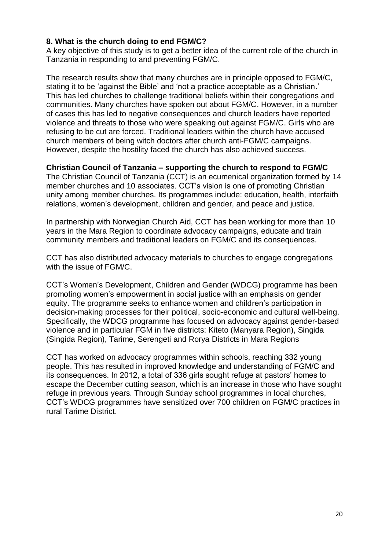#### **8. What is the church doing to end FGM/C?**

A key objective of this study is to get a better idea of the current role of the church in Tanzania in responding to and preventing FGM/C.

The research results show that many churches are in principle opposed to FGM/C, stating it to be 'against the Bible' and 'not a practice acceptable as a Christian.' This has led churches to challenge traditional beliefs within their congregations and communities. Many churches have spoken out about FGM/C. However, in a number of cases this has led to negative consequences and church leaders have reported violence and threats to those who were speaking out against FGM/C. Girls who are refusing to be cut are forced. Traditional leaders within the church have accused church members of being witch doctors after church anti-FGM/C campaigns. However, despite the hostility faced the church has also achieved success.

#### **Christian Council of Tanzania – supporting the church to respond to FGM/C**

The Christian Council of Tanzania (CCT) is an ecumenical organization formed by 14 member churches and 10 associates. CCT's vision is one of promoting Christian unity among member churches. Its programmes include: education, health, interfaith relations, women's development, children and gender, and peace and justice.

In partnership with Norwegian Church Aid, CCT has been working for more than 10 years in the Mara Region to coordinate advocacy campaigns, educate and train community members and traditional leaders on FGM/C and its consequences.

CCT has also distributed advocacy materials to churches to engage congregations with the issue of FGM/C.

CCT's Women's Development, Children and Gender (WDCG) programme has been promoting women's empowerment in social justice with an emphasis on gender equity. The programme seeks to enhance women and children's participation in decision-making processes for their political, socio-economic and cultural well-being. Specifically, the WDCG programme has focused on advocacy against gender-based violence and in particular FGM in five districts: Kiteto (Manyara Region), Singida (Singida Region), Tarime, Serengeti and Rorya Districts in Mara Regions

CCT has worked on advocacy programmes within schools, reaching 332 young people. This has resulted in improved knowledge and understanding of FGM/C and its consequences. In 2012, a total of 336 girls sought refuge at pastors' homes to escape the December cutting season, which is an increase in those who have sought refuge in previous years. Through Sunday school programmes in local churches, CCT's WDCG programmes have sensitized over 700 children on FGM/C practices in rural Tarime District.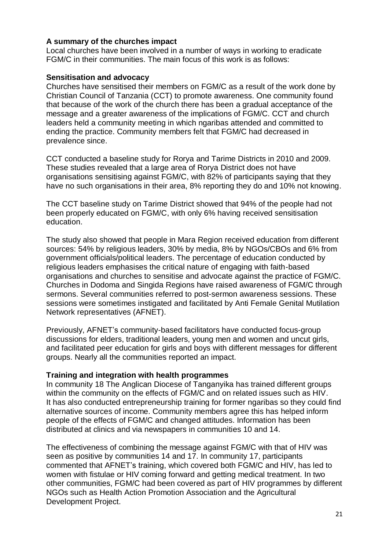#### **A summary of the churches impact**

Local churches have been involved in a number of ways in working to eradicate FGM/C in their communities. The main focus of this work is as follows:

#### **Sensitisation and advocacy**

Churches have sensitised their members on FGM/C as a result of the work done by Christian Council of Tanzania (CCT) to promote awareness. One community found that because of the work of the church there has been a gradual acceptance of the message and a greater awareness of the implications of FGM/C. CCT and church leaders held a community meeting in which ngaribas attended and committed to ending the practice. Community members felt that FGM/C had decreased in prevalence since.

CCT conducted a baseline study for Rorya and Tarime Districts in 2010 and 2009. These studies revealed that a large area of Rorya District does not have organisations sensitising against FGM/C, with 82% of participants saying that they have no such organisations in their area, 8% reporting they do and 10% not knowing.

The CCT baseline study on Tarime District showed that 94% of the people had not been properly educated on FGM/C, with only 6% having received sensitisation education.

The study also showed that people in Mara Region received education from different sources: 54% by religious leaders, 30% by media, 8% by NGOs/CBOs and 6% from government officials/political leaders. The percentage of education conducted by religious leaders emphasises the critical nature of engaging with faith-based organisations and churches to sensitise and advocate against the practice of FGM/C. Churches in Dodoma and Singida Regions have raised awareness of FGM/C through sermons. Several communities referred to post-sermon awareness sessions. These sessions were sometimes instigated and facilitated by Anti Female Genital Mutilation Network representatives (AFNET).

Previously, AFNET's community-based facilitators have conducted focus-group discussions for elders, traditional leaders, young men and women and uncut girls, and facilitated peer education for girls and boys with different messages for different groups. Nearly all the communities reported an impact.

#### **Training and integration with health programmes**

In community 18 The Anglican Diocese of Tanganyika has trained different groups within the community on the effects of FGM/C and on related issues such as HIV. It has also conducted entrepreneurship training for former ngaribas so they could find alternative sources of income. Community members agree this has helped inform people of the effects of FGM/C and changed attitudes. Information has been distributed at clinics and via newspapers in communities 10 and 14.

The effectiveness of combining the message against FGM/C with that of HIV was seen as positive by communities 14 and 17. In community 17, participants commented that AFNET's training, which covered both FGM/C and HIV, has led to women with fistulae or HIV coming forward and getting medical treatment. In two other communities, FGM/C had been covered as part of HIV programmes by different NGOs such as Health Action Promotion Association and the Agricultural Development Project.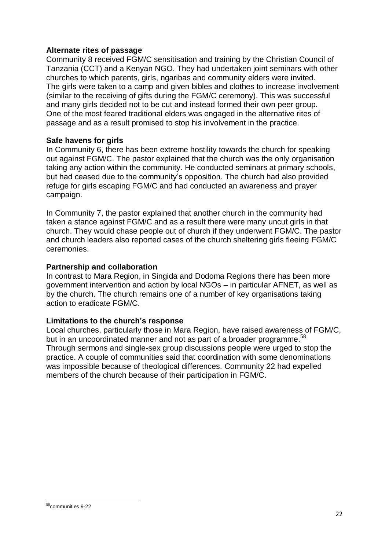#### **Alternate rites of passage**

Community 8 received FGM/C sensitisation and training by the Christian Council of Tanzania (CCT) and a Kenyan NGO. They had undertaken joint seminars with other churches to which parents, girls, ngaribas and community elders were invited. The girls were taken to a camp and given bibles and clothes to increase involvement (similar to the receiving of gifts during the FGM/C ceremony). This was successful and many girls decided not to be cut and instead formed their own peer group. One of the most feared traditional elders was engaged in the alternative rites of passage and as a result promised to stop his involvement in the practice.

#### **Safe havens for girls**

In Community 6, there has been extreme hostility towards the church for speaking out against FGM/C. The pastor explained that the church was the only organisation taking any action within the community. He conducted seminars at primary schools, but had ceased due to the community's opposition. The church had also provided refuge for girls escaping FGM/C and had conducted an awareness and prayer campaign.

In Community 7, the pastor explained that another church in the community had taken a stance against FGM/C and as a result there were many uncut girls in that church. They would chase people out of church if they underwent FGM/C. The pastor and church leaders also reported cases of the church sheltering girls fleeing FGM/C ceremonies.

#### **Partnership and collaboration**

In contrast to Mara Region, in Singida and Dodoma Regions there has been more government intervention and action by local NGOs – in particular AFNET, as well as by the church. The church remains one of a number of key organisations taking action to eradicate FGM/C.

#### **Limitations to the church's response**

Local churches, particularly those in Mara Region, have raised awareness of FGM/C, but in an uncoordinated manner and not as part of a broader programme.<sup>58</sup> Through sermons and single-sex group discussions people were urged to stop the practice. A couple of communities said that coordination with some denominations was impossible because of theological differences. Community 22 had expelled members of the church because of their participation in FGM/C.

<sup>-</sup><sup>58</sup>communities 9-22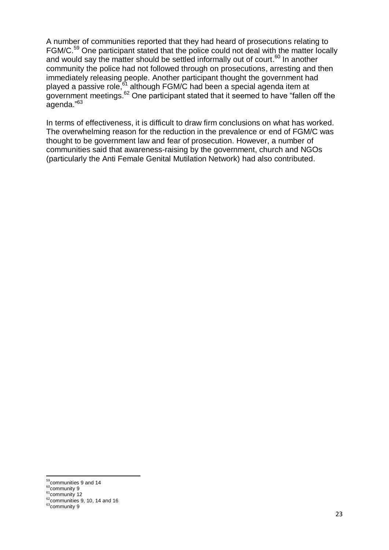A number of communities reported that they had heard of prosecutions relating to FGM/C.<sup>59</sup> One participant stated that the police could not deal with the matter locally and would say the matter should be settled informally out of court.<sup>60</sup> In another community the police had not followed through on prosecutions, arresting and then immediately releasing people. Another participant thought the government had played a passive role,<sup>61</sup> although FGM/C had been a special agenda item at government meetings. $62$  One participant stated that it seemed to have "fallen off the agenda."<sup>63</sup>

In terms of effectiveness, it is difficult to draw firm conclusions on what has worked. The overwhelming reason for the reduction in the prevalence or end of FGM/C was thought to be government law and fear of prosecution. However, a number of communities said that awareness-raising by the government, church and NGOs (particularly the Anti Female Genital Mutilation Network) had also contributed.

<sup>-</sup><sup>59</sup>communities 9 and 14

<sup>&</sup>lt;sup>60</sup>community 9

 $61$ community 12

 $62$ communities 9, 10, 14 and 16

 $63$ community 9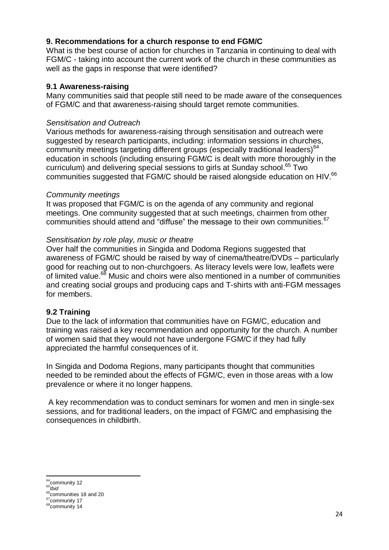### **9. Recommendations for a church response to end FGM/C**

What is the best course of action for churches in Tanzania in continuing to deal with FGM/C - taking into account the current work of the church in these communities as well as the gaps in response that were identified?

#### **9.1 Awareness-raising**

Many communities said that people still need to be made aware of the consequences of FGM/C and that awareness-raising should target remote communities.

#### *Sensitisation and Outreach*

Various methods for awareness-raising through sensitisation and outreach were suggested by research participants, including: information sessions in churches, community meetings targeting different groups (especially traditional leaders) $64$ education in schools (including ensuring FGM/C is dealt with more thoroughly in the curriculum) and delivering special sessions to girls at Sunday school. <sup>65</sup> Two communities suggested that FGM/C should be raised alongside education on HIV.<sup>66</sup>

#### *Community meetings*

It was proposed that FGM/C is on the agenda of any community and regional meetings. One community suggested that at such meetings, chairmen from other communities should attend and "diffuse" the message to their own communities.<sup>67</sup>

#### *Sensitisation by role play, music or theatre*

Over half the communities in Singida and Dodoma Regions suggested that awareness of FGM/C should be raised by way of cinema/theatre/DVDs – particularly good for reaching out to non-churchgoers. As literacy levels were low, leaflets were of limited value.<sup>68</sup> Music and choirs were also mentioned in a number of communities and creating social groups and producing caps and T-shirts with anti-FGM messages for members.

# **9.2 Training**

Due to the lack of information that communities have on FGM/C, education and training was raised a key recommendation and opportunity for the church. A number of women said that they would not have undergone FGM/C if they had fully appreciated the harmful consequences of it.

In Singida and Dodoma Regions, many participants thought that communities needed to be reminded about the effects of FGM/C, even in those areas with a low prevalence or where it no longer happens.

A key recommendation was to conduct seminars for women and men in single-sex sessions, and for traditional leaders, on the impact of FGM/C and emphasising the consequences in childbirth.

<sup>-</sup> $64$ community 12

<sup>65</sup>*Ibid*

<sup>&</sup>lt;sup>66</sup>communities 18 and 20

<sup>&</sup>lt;sup>67</sup>community 17 <sup>68</sup>community 14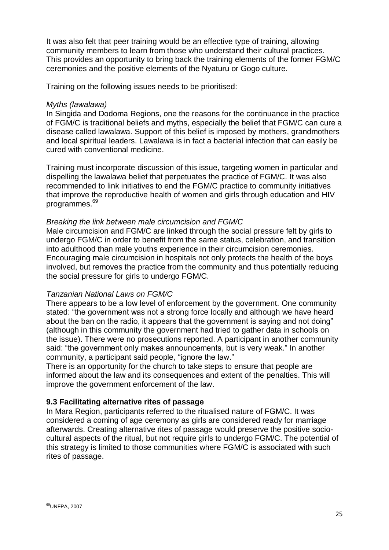It was also felt that peer training would be an effective type of training, allowing community members to learn from those who understand their cultural practices. This provides an opportunity to bring back the training elements of the former FGM/C ceremonies and the positive elements of the Nyaturu or Gogo culture.

Training on the following issues needs to be prioritised:

### *Myths (lawalawa)*

In Singida and Dodoma Regions, one the reasons for the continuance in the practice of FGM/C is traditional beliefs and myths, especially the belief that FGM/C can cure a disease called lawalawa. Support of this belief is imposed by mothers, grandmothers and local spiritual leaders. Lawalawa is in fact a bacterial infection that can easily be cured with conventional medicine.

Training must incorporate discussion of this issue, targeting women in particular and dispelling the lawalawa belief that perpetuates the practice of FGM/C. It was also recommended to link initiatives to end the FGM/C practice to community initiatives that improve the reproductive health of women and girls through education and HIV programmes. 69

#### *Breaking the link between male circumcision and FGM/C*

Male circumcision and FGM/C are linked through the social pressure felt by girls to undergo FGM/C in order to benefit from the same status, celebration, and transition into adulthood than male youths experience in their circumcision ceremonies. Encouraging male circumcision in hospitals not only protects the health of the boys involved, but removes the practice from the community and thus potentially reducing the social pressure for girls to undergo FGM/C.

#### *Tanzanian National Laws on FGM/C*

There appears to be a low level of enforcement by the government. One community stated: "the government was not a strong force locally and although we have heard about the ban on the radio, it appears that the government is saying and not doing" (although in this community the government had tried to gather data in schools on the issue). There were no prosecutions reported. A participant in another community said: "the government only makes announcements, but is very weak." In another community, a participant said people, "ignore the law."

There is an opportunity for the church to take steps to ensure that people are informed about the law and its consequences and extent of the penalties. This will improve the government enforcement of the law.

# **9.3 Facilitating alternative rites of passage**

In Mara Region, participants referred to the ritualised nature of FGM/C. It was considered a coming of age ceremony as girls are considered ready for marriage afterwards. Creating alternative rites of passage would preserve the positive sociocultural aspects of the ritual, but not require girls to undergo FGM/C. The potential of this strategy is limited to those communities where FGM/C is associated with such rites of passage.

<sup>-</sup><sup>69</sup>UNFPA, 2007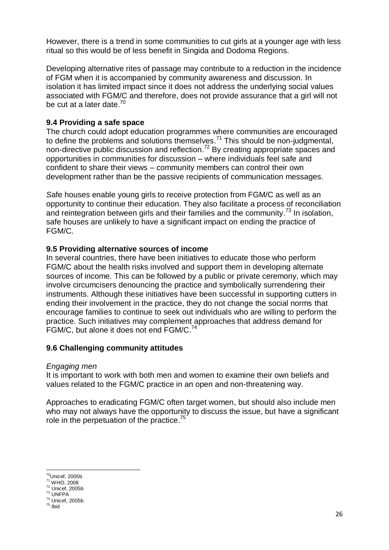However, there is a trend in some communities to cut girls at a younger age with less ritual so this would be of less benefit in Singida and Dodoma Regions.

Developing alternative rites of passage may contribute to a reduction in the incidence of FGM when it is accompanied by community awareness and discussion. In isolation it has limited impact since it does not address the underlying social values associated with FGM/C and therefore, does not provide assurance that a girl will not be cut at a later date.<sup>70</sup>

# **9.4 Providing a safe space**

The church could adopt education programmes where communities are encouraged to define the problems and solutions themselves.<sup>71</sup> This should be non-judgmental, non-directive public discussion and reflection.<sup>72</sup> By creating appropriate spaces and opportunities in communities for discussion – where individuals feel safe and confident to share their views – community members can control their own development rather than be the passive recipients of communication messages.

*S*afe houses enable young girls to receive protection from FGM/C as well as an opportunity to continue their education. They also facilitate a process of reconciliation and reintegration between girls and their families and the community.<sup>73</sup> In isolation, safe houses are unlikely to have a significant impact on ending the practice of FGM/C.

# **9.5 Providing alternative sources of income**

In several countries, there have been initiatives to educate those who perform FGM/C about the health risks involved and support them in developing alternate sources of income. This can be followed by a public or private ceremony, which may involve circumcisers denouncing the practice and symbolically surrendering their instruments. Although these initiatives have been successful in supporting cutters in ending their involvement in the practice, they do not change the social norms that encourage families to continue to seek out individuals who are willing to perform the practice. Such initiatives may complement approaches that address demand for FGM/C, but alone it does not end FGM/C.<sup>74</sup>

# **9.6 Challenging community attitudes**

# *Engaging men*

It is important to work with both men and women to examine their own beliefs and values related to the FGM/C practice in an open and non-threatening way.

Approaches to eradicating FGM/C often target women, but should also include men who may not always have the opportunity to discuss the issue, but have a significant role in the perpetuation of the practice.<sup>75</sup>

<sup>-</sup> $70$ Unicef, 2005b

<sup>71</sup> WHO, 2008  $72$  Unicef, 2005b

<sup>73</sup> UNFPA

 $74$  Unicef, 2005b

 $75$  lbid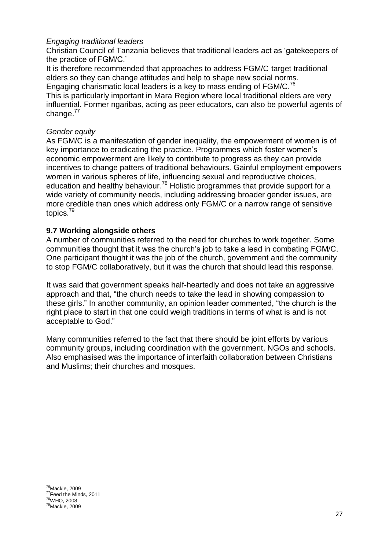### *Engaging traditional leaders*

Christian Council of Tanzania believes that traditional leaders act as 'gatekeepers of the practice of FGM/C.'

It is therefore recommended that approaches to address FGM/C target traditional elders so they can change attitudes and help to shape new social norms. Engaging charismatic local leaders is a key to mass ending of  $FGM/C.<sup>76</sup>$ This is particularly important in Mara Region where local traditional elders are very influential. Former ngaribas*,* acting as peer educators, can also be powerful agents of change.<sup>77</sup>

#### *Gender equity*

As FGM/C is a manifestation of gender inequality, the empowerment of women is of key importance to eradicating the practice. Programmes which foster women's economic empowerment are likely to contribute to progress as they can provide incentives to change patters of traditional behaviours. Gainful employment empowers women in various spheres of life, influencing sexual and reproductive choices, education and healthy behaviour.<sup>78</sup> Holistic programmes that provide support for a wide variety of community needs, including addressing broader gender issues, are more credible than ones which address only FGM/C or a narrow range of sensitive topics. 79

#### **9.7 Working alongside others**

A number of communities referred to the need for churches to work together. Some communities thought that it was the church's job to take a lead in combating FGM/C. One participant thought it was the job of the church, government and the community to stop FGM/C collaboratively, but it was the church that should lead this response.

It was said that government speaks half-heartedly and does not take an aggressive approach and that, "the church needs to take the lead in showing compassion to these girls." In another community, an opinion leader commented, "the church is the right place to start in that one could weigh traditions in terms of what is and is not acceptable to God."

Many communities referred to the fact that there should be joint efforts by various community groups, including coordination with the government, NGOs and schools. Also emphasised was the importance of interfaith collaboration between Christians and Muslims; their churches and mosques.

 $76$ Mackie, 2009 <sup>77</sup>Feed the Minds, 2011 <sup>78</sup>WHO, 2008 <sup>79</sup>Mackie, 2009

**.**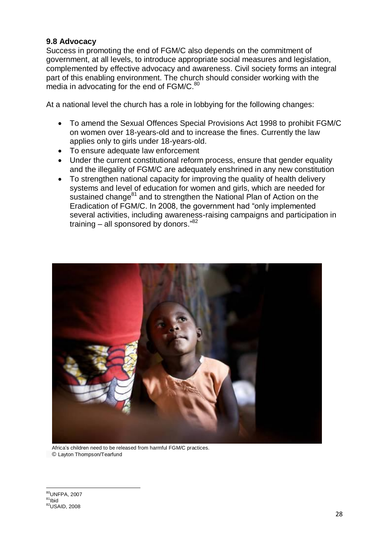#### **9.8 Advocacy**

Success in promoting the end of FGM/C also depends on the commitment of government, at all levels, to introduce appropriate social measures and legislation, complemented by effective advocacy and awareness. Civil society forms an integral part of this enabling environment. The church should consider working with the media in advocating for the end of FGM/C.<sup>80</sup>

At a national level the church has a role in lobbying for the following changes:

- To amend the Sexual Offences Special Provisions Act 1998 to prohibit FGM/C on women over 18-years-old and to increase the fines. Currently the law applies only to girls under 18-years-old.
- To ensure adequate law enforcement
- Under the current constitutional reform process, ensure that gender equality and the illegality of FGM/C are adequately enshrined in any new constitution
- To strengthen national capacity for improving the quality of health delivery systems and level of education for women and girls, which are needed for sustained change $81$  and to strengthen the National Plan of Action on the Eradication of FGM/C. In 2008, the government had "only implemented several activities, including awareness-raising campaigns and participation in training - all sponsored by donors."<sup>82</sup>



 Africa's children need to be released from harmful FGM/C practices. © Layton Thompson/Tearfund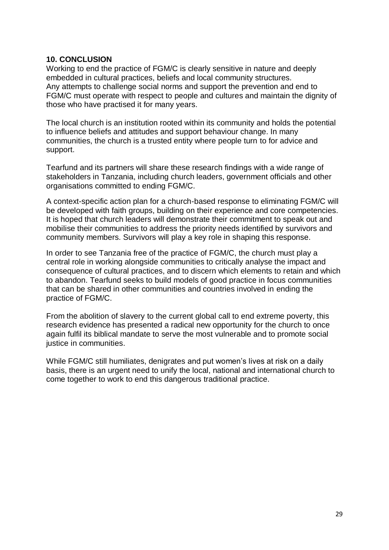#### **10. CONCLUSION**

Working to end the practice of FGM/C is clearly sensitive in nature and deeply embedded in cultural practices, beliefs and local community structures. Any attempts to challenge social norms and support the prevention and end to FGM/C must operate with respect to people and cultures and maintain the dignity of those who have practised it for many years.

The local church is an institution rooted within its community and holds the potential to influence beliefs and attitudes and support behaviour change. In many communities, the church is a trusted entity where people turn to for advice and support.

Tearfund and its partners will share these research findings with a wide range of stakeholders in Tanzania, including church leaders, government officials and other organisations committed to ending FGM/C.

A context-specific action plan for a church-based response to eliminating FGM/C will be developed with faith groups, building on their experience and core competencies. It is hoped that church leaders will demonstrate their commitment to speak out and mobilise their communities to address the priority needs identified by survivors and community members. Survivors will play a key role in shaping this response.

In order to see Tanzania free of the practice of FGM/C, the church must play a central role in working alongside communities to critically analyse the impact and consequence of cultural practices, and to discern which elements to retain and which to abandon. Tearfund seeks to build models of good practice in focus communities that can be shared in other communities and countries involved in ending the practice of FGM/C.

From the abolition of slavery to the current global call to end extreme poverty, this research evidence has presented a radical new opportunity for the church to once again fulfil its biblical mandate to serve the most vulnerable and to promote social justice in communities.

While FGM/C still humiliates, denigrates and put women's lives at risk on a daily basis, there is an urgent need to unify the local, national and international church to come together to work to end this dangerous traditional practice.